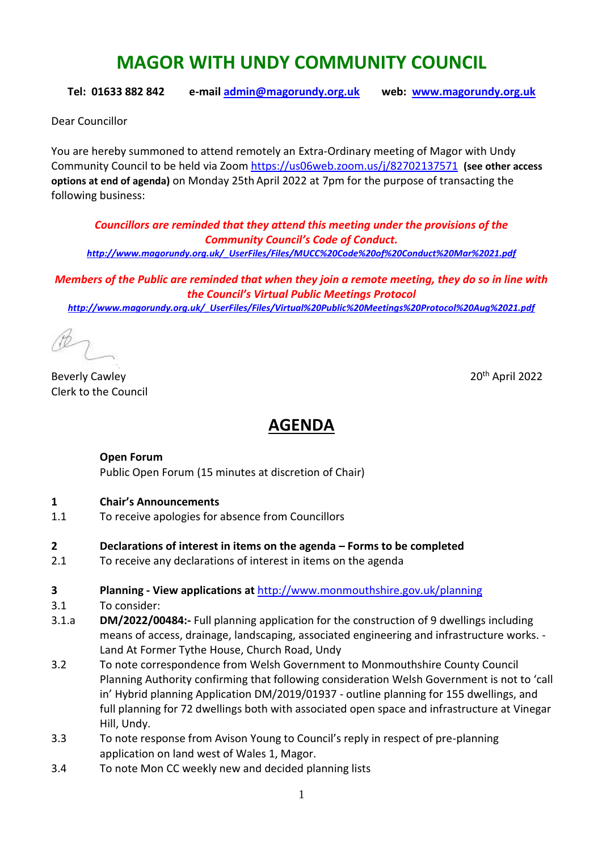# **MAGOR WITH UNDY COMMUNITY COUNCIL**

**Tel: 01633 882 842 e-mail [admin@magorundy.org.uk](mailto:admin@magorundy.org.uk) web: [www.magorundy.org.uk](http://www.magorundy.org.uk/)**

Dear Councillor

You are hereby summoned to attend remotely an Extra-Ordinary meeting of Magor with Undy Community Council to be held via Zoom <https://us06web.zoom.us/j/82702137571> **(see other access options at end of agenda)** on Monday 25th April 2022 at 7pm for the purpose of transacting the following business:

*Councillors are reminded that they attend this meeting under the provisions of the Community Council's Code of Conduct. [http://www.magorundy.org.uk/\\_UserFiles/Files/MUCC%20Code%20of%20Conduct%20Mar%2021.pdf](http://www.magorundy.org.uk/_UserFiles/Files/MUCC%20Code%20of%20Conduct%20Mar%2021.pdf)*

*Members of the Public are reminded that when they join a remote meeting, they do so in line with the Council's Virtual Public Meetings Protocol [http://www.magorundy.org.uk/\\_UserFiles/Files/Virtual%20Public%20Meetings%20Protocol%20Aug%2021.pdf](http://www.magorundy.org.uk/_UserFiles/Files/Virtual%20Public%20Meetings%20Protocol%20Aug%2021.pdf)*

Beverly Cawley 20th April 2022 Clerk to the Council

## **AGENDA**

#### **Open Forum**

Public Open Forum (15 minutes at discretion of Chair)

#### **1 Chair's Announcements**

1.1 To receive apologies for absence from Councillors

#### **2 Declarations of interest in items on the agenda – Forms to be completed**

2.1 To receive any declarations of interest in items on the agenda

#### **3 Planning - View applications at** <http://www.monmouthshire.gov.uk/planning>

- 3.1 To consider:
- 3.1.a **DM/2022/00484:-** Full planning application for the construction of 9 dwellings including means of access, drainage, landscaping, associated engineering and infrastructure works. - Land At Former Tythe House, Church Road, Undy
- 3.2 To note correspondence from Welsh Government to Monmouthshire County Council Planning Authority confirming that following consideration Welsh Government is not to 'call in' Hybrid planning Application DM/2019/01937 - outline planning for 155 dwellings, and full planning for 72 dwellings both with associated open space and infrastructure at Vinegar Hill, Undy.
- 3.3 To note response from Avison Young to Council's reply in respect of pre-planning application on land west of Wales 1, Magor.
- 3.4 To note Mon CC weekly new and decided planning lists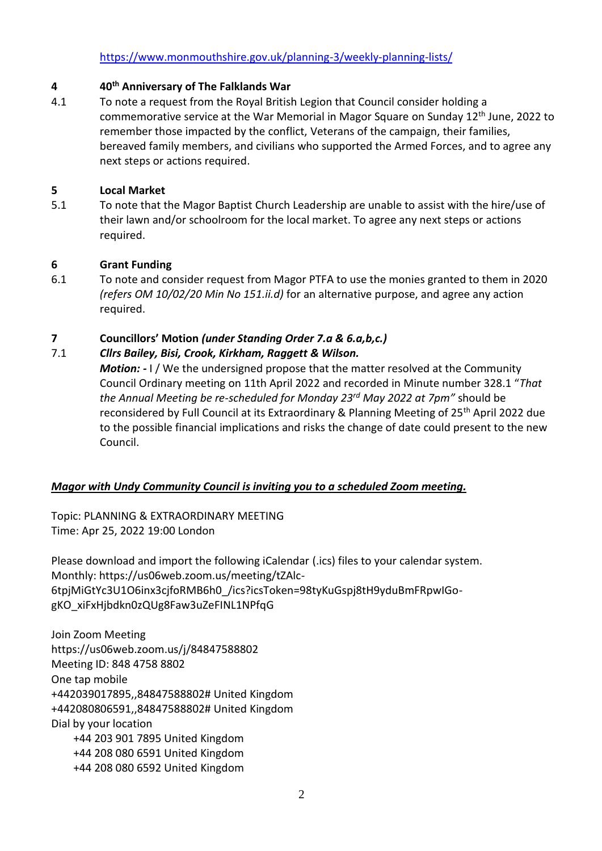### **4 40th Anniversary of The Falklands War**

4.1 To note a request from the Royal British Legion that Council consider holding a commemorative service at the War Memorial in Magor Square on Sunday  $12<sup>th</sup>$  June, 2022 to remember those impacted by the conflict, Veterans of the campaign, their families, bereaved family members, and civilians who supported the Armed Forces, and to agree any next steps or actions required.

### **5 Local Market**

5.1 To note that the Magor Baptist Church Leadership are unable to assist with the hire/use of their lawn and/or schoolroom for the local market. To agree any next steps or actions required.

## **6 Grant Funding**

6.1 To note and consider request from Magor PTFA to use the monies granted to them in 2020 *(refers OM 10/02/20 Min No 151.ii.d)* for an alternative purpose, and agree any action required.

## **7 Councillors' Motion** *(under Standing Order 7.a & 6.a,b,c.)*

#### 7.1 *Cllrs Bailey, Bisi, Crook, Kirkham, Raggett & Wilson.*

*Motion: -* I / We the undersigned propose that the matter resolved at the Community Council Ordinary meeting on 11th April 2022 and recorded in Minute number 328.1 "*That the Annual Meeting be re-scheduled for Monday 23rd May 2022 at 7pm"* should be reconsidered by Full Council at its Extraordinary & Planning Meeting of 25<sup>th</sup> April 2022 due to the possible financial implications and risks the change of date could present to the new Council.

## *Magor with Undy Community Council is inviting you to a scheduled Zoom meeting.*

Topic: PLANNING & EXTRAORDINARY MEETING Time: Apr 25, 2022 19:00 London

Please download and import the following iCalendar (.ics) files to your calendar system. Monthly: https://us06web.zoom.us/meeting/tZAlc-6tpjMiGtYc3U1O6inx3cjfoRMB6h0\_/ics?icsToken=98tyKuGspj8tH9yduBmFRpwIGogKO\_xiFxHjbdkn0zQUg8Faw3uZeFINL1NPfqG

Join Zoom Meeting https://us06web.zoom.us/j/84847588802 Meeting ID: 848 4758 8802 One tap mobile +442039017895,,84847588802# United Kingdom +442080806591,,84847588802# United Kingdom Dial by your location +44 203 901 7895 United Kingdom +44 208 080 6591 United Kingdom +44 208 080 6592 United Kingdom